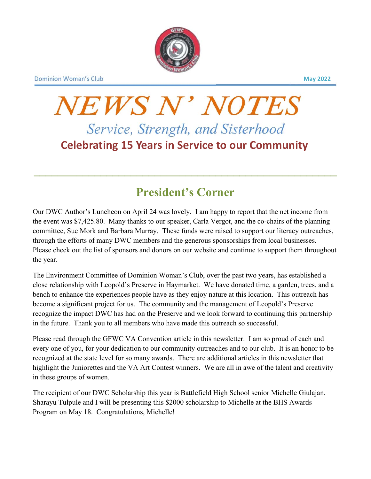

Dominion Woman's Club

# **NEWS N' NOTES** Service, Strength, and Sisterhood **Celebrating 15 Years in Service to our Community**

# **President's Corner**

**\_\_\_\_\_\_\_\_\_\_\_\_\_\_\_\_\_\_\_\_\_\_\_\_\_\_\_\_\_\_\_\_\_\_\_\_\_\_\_\_\_\_\_\_\_\_\_\_\_\_** 

Our DWC Author's Luncheon on April 24 was lovely. I am happy to report that the net income from the event was \$7,425.80. Many thanks to our speaker, Carla Vergot, and the co-chairs of the planning committee, Sue Mork and Barbara Murray. These funds were raised to support our literacy outreaches, through the efforts of many DWC members and the generous sponsorships from local businesses. Please check out the list of sponsors and donors on our website and continue to support them throughout the year.

The Environment Committee of Dominion Woman's Club, over the past two years, has established a close relationship with Leopold's Preserve in Haymarket. We have donated time, a garden, trees, and a bench to enhance the experiences people have as they enjoy nature at this location. This outreach has become a significant project for us. The community and the management of Leopold's Preserve recognize the impact DWC has had on the Preserve and we look forward to continuing this partnership in the future. Thank you to all members who have made this outreach so successful.

Please read through the GFWC VA Convention article in this newsletter. I am so proud of each and every one of you, for your dedication to our community outreaches and to our club. It is an honor to be recognized at the state level for so many awards. There are additional articles in this newsletter that highlight the Juniorettes and the VA Art Contest winners. We are all in awe of the talent and creativity in these groups of women.

The recipient of our DWC Scholarship this year is Battlefield High School senior Michelle Giulajan. Sharayu Tulpule and I will be presenting this \$2000 scholarship to Michelle at the BHS Awards Program on May 18. Congratulations, Michelle!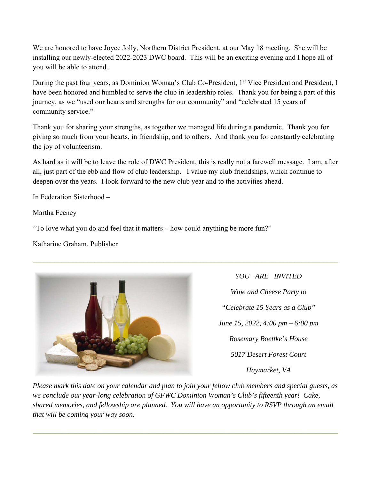We are honored to have Joyce Jolly, Northern District President, at our May 18 meeting. She will be installing our newly-elected 2022-2023 DWC board. This will be an exciting evening and I hope all of you will be able to attend.

During the past four years, as Dominion Woman's Club Co-President, 1<sup>st</sup> Vice President and President, I have been honored and humbled to serve the club in leadership roles. Thank you for being a part of this journey, as we "used our hearts and strengths for our community" and "celebrated 15 years of community service."

Thank you for sharing your strengths, as together we managed life during a pandemic. Thank you for giving so much from your hearts, in friendship, and to others. And thank you for constantly celebrating the joy of volunteerism.

As hard as it will be to leave the role of DWC President, this is really not a farewell message. I am, after all, just part of the ebb and flow of club leadership. I value my club friendships, which continue to deepen over the years. I look forward to the new club year and to the activities ahead.

 $\mathcal{L}_\mathcal{L} = \{ \mathcal{L}_\mathcal{L} = \{ \mathcal{L}_\mathcal{L} = \{ \mathcal{L}_\mathcal{L} = \{ \mathcal{L}_\mathcal{L} = \{ \mathcal{L}_\mathcal{L} = \{ \mathcal{L}_\mathcal{L} = \{ \mathcal{L}_\mathcal{L} = \{ \mathcal{L}_\mathcal{L} = \{ \mathcal{L}_\mathcal{L} = \{ \mathcal{L}_\mathcal{L} = \{ \mathcal{L}_\mathcal{L} = \{ \mathcal{L}_\mathcal{L} = \{ \mathcal{L}_\mathcal{L} = \{ \mathcal{L}_\mathcal{$ 

In Federation Sisterhood –

Martha Feeney

"To love what you do and feel that it matters – how could anything be more fun?"

Katharine Graham, Publisher



*YOU ARE INVITED Wine and Cheese Party to "Celebrate 15 Years as a Club" June 15, 2022, 4:00 pm – 6:00 pm Rosemary Boettke's House 5017 Desert Forest Court Haymarket, VA* 

*Please mark this date on your calendar and plan to join your fellow club members and special guests, as we conclude our year-long celebration of GFWC Dominion Woman's Club's fifteenth year! Cake, shared memories, and fellowship are planned. You will have an opportunity to RSVP through an email that will be coming your way soon.*

 $\mathcal{L}_\mathcal{L} = \{ \mathcal{L}_\mathcal{L} = \{ \mathcal{L}_\mathcal{L} = \{ \mathcal{L}_\mathcal{L} = \{ \mathcal{L}_\mathcal{L} = \{ \mathcal{L}_\mathcal{L} = \{ \mathcal{L}_\mathcal{L} = \{ \mathcal{L}_\mathcal{L} = \{ \mathcal{L}_\mathcal{L} = \{ \mathcal{L}_\mathcal{L} = \{ \mathcal{L}_\mathcal{L} = \{ \mathcal{L}_\mathcal{L} = \{ \mathcal{L}_\mathcal{L} = \{ \mathcal{L}_\mathcal{L} = \{ \mathcal{L}_\mathcal{$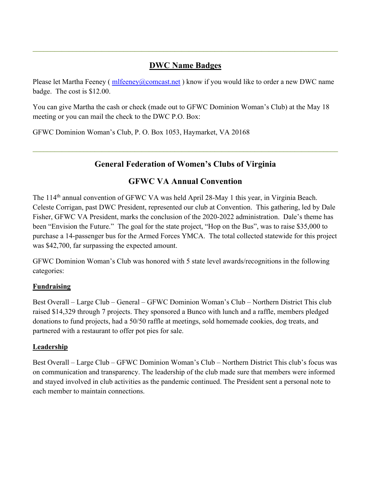# **DWC Name Badges**

 $\mathcal{L}_\mathcal{L} = \{ \mathcal{L}_\mathcal{L} = \{ \mathcal{L}_\mathcal{L} = \{ \mathcal{L}_\mathcal{L} = \{ \mathcal{L}_\mathcal{L} = \{ \mathcal{L}_\mathcal{L} = \{ \mathcal{L}_\mathcal{L} = \{ \mathcal{L}_\mathcal{L} = \{ \mathcal{L}_\mathcal{L} = \{ \mathcal{L}_\mathcal{L} = \{ \mathcal{L}_\mathcal{L} = \{ \mathcal{L}_\mathcal{L} = \{ \mathcal{L}_\mathcal{L} = \{ \mathcal{L}_\mathcal{L} = \{ \mathcal{L}_\mathcal{$ 

Please let Martha Feeney ( mlfeeney a composition to know if you would like to order a new DWC name badge. The cost is \$12.00.

You can give Martha the cash or check (made out to GFWC Dominion Woman's Club) at the May 18 meeting or you can mail the check to the DWC P.O. Box:

GFWC Dominion Woman's Club, P. O. Box 1053, Haymarket, VA 20168

# **General Federation of Women's Clubs of Virginia**

 $\mathcal{L}_\mathcal{L} = \{ \mathcal{L}_\mathcal{L} = \{ \mathcal{L}_\mathcal{L} = \{ \mathcal{L}_\mathcal{L} = \{ \mathcal{L}_\mathcal{L} = \{ \mathcal{L}_\mathcal{L} = \{ \mathcal{L}_\mathcal{L} = \{ \mathcal{L}_\mathcal{L} = \{ \mathcal{L}_\mathcal{L} = \{ \mathcal{L}_\mathcal{L} = \{ \mathcal{L}_\mathcal{L} = \{ \mathcal{L}_\mathcal{L} = \{ \mathcal{L}_\mathcal{L} = \{ \mathcal{L}_\mathcal{L} = \{ \mathcal{L}_\mathcal{$ 

# **GFWC VA Annual Convention**

The 114th annual convention of GFWC VA was held April 28-May 1 this year, in Virginia Beach. Celeste Corrigan, past DWC President, represented our club at Convention. This gathering, led by Dale Fisher, GFWC VA President, marks the conclusion of the 2020-2022 administration. Dale's theme has been "Envision the Future." The goal for the state project, "Hop on the Bus", was to raise \$35,000 to purchase a 14-passenger bus for the Armed Forces YMCA. The total collected statewide for this project was \$42,700, far surpassing the expected amount.

GFWC Dominion Woman's Club was honored with 5 state level awards/recognitions in the following categories:

## **Fundraising**

Best Overall – Large Club – General – GFWC Dominion Woman's Club – Northern District This club raised \$14,329 through 7 projects. They sponsored a Bunco with lunch and a raffle, members pledged donations to fund projects, had a 50/50 raffle at meetings, sold homemade cookies, dog treats, and partnered with a restaurant to offer pot pies for sale.

#### **Leadership**

Best Overall – Large Club – GFWC Dominion Woman's Club – Northern District This club's focus was on communication and transparency. The leadership of the club made sure that members were informed and stayed involved in club activities as the pandemic continued. The President sent a personal note to each member to maintain connections.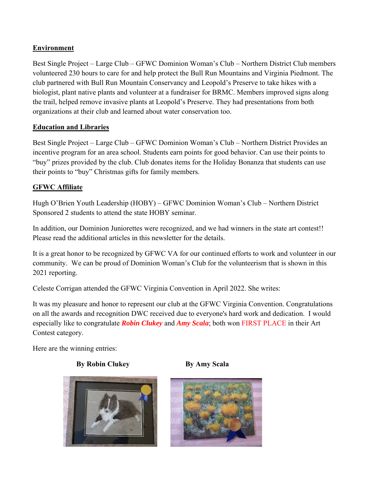#### **Environment**

Best Single Project – Large Club – GFWC Dominion Woman's Club – Northern District Club members volunteered 230 hours to care for and help protect the Bull Run Mountains and Virginia Piedmont. The club partnered with Bull Run Mountain Conservancy and Leopold's Preserve to take hikes with a biologist, plant native plants and volunteer at a fundraiser for BRMC. Members improved signs along the trail, helped remove invasive plants at Leopold's Preserve. They had presentations from both organizations at their club and learned about water conservation too.

#### **Education and Libraries**

Best Single Project – Large Club – GFWC Dominion Woman's Club – Northern District Provides an incentive program for an area school. Students earn points for good behavior. Can use their points to "buy" prizes provided by the club. Club donates items for the Holiday Bonanza that students can use their points to "buy" Christmas gifts for family members.

## **GFWC Affiliate**

Hugh O'Brien Youth Leadership (HOBY) – GFWC Dominion Woman's Club – Northern District Sponsored 2 students to attend the state HOBY seminar.

In addition, our Dominion Juniorettes were recognized, and we had winners in the state art contest!! Please read the additional articles in this newsletter for the details.

It is a great honor to be recognized by GFWC VA for our continued efforts to work and volunteer in our community. We can be proud of Dominion Woman's Club for the volunteerism that is shown in this 2021 reporting.

Celeste Corrigan attended the GFWC Virginia Convention in April 2022. She writes:

It was my pleasure and honor to represent our club at the GFWC Virginia Convention. Congratulations on all the awards and recognition DWC received due to everyone's hard work and dedication. I would especially like to congratulate *Robin Clukey* and *Amy Scala*; both won FIRST PLACE in their Art Contest category.

Here are the winning entries:

## **By Robin Clukey By Amy Scala**





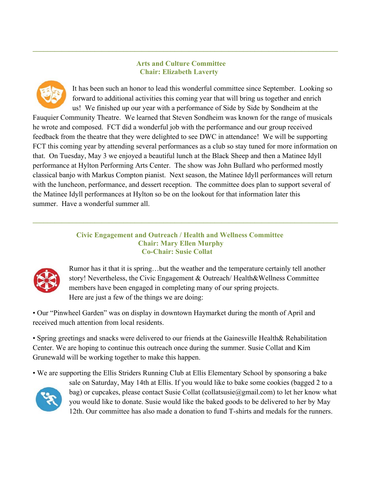#### **Arts and Culture Committee Chair: Elizabeth Laverty**

 $\mathcal{L}_\mathcal{L} = \{ \mathcal{L}_\mathcal{L} = \{ \mathcal{L}_\mathcal{L} = \{ \mathcal{L}_\mathcal{L} = \{ \mathcal{L}_\mathcal{L} = \{ \mathcal{L}_\mathcal{L} = \{ \mathcal{L}_\mathcal{L} = \{ \mathcal{L}_\mathcal{L} = \{ \mathcal{L}_\mathcal{L} = \{ \mathcal{L}_\mathcal{L} = \{ \mathcal{L}_\mathcal{L} = \{ \mathcal{L}_\mathcal{L} = \{ \mathcal{L}_\mathcal{L} = \{ \mathcal{L}_\mathcal{L} = \{ \mathcal{L}_\mathcal{$ 



It has been such an honor to lead this wonderful committee since September. Looking so forward to additional activities this coming year that will bring us together and enrich us! We finished up our year with a performance of Side by Side by Sondheim at the

Fauquier Community Theatre. We learned that Steven Sondheim was known for the range of musicals he wrote and composed. FCT did a wonderful job with the performance and our group received feedback from the theatre that they were delighted to see DWC in attendance! We will be supporting FCT this coming year by attending several performances as a club so stay tuned for more information on that. On Tuesday, May 3 we enjoyed a beautiful lunch at the Black Sheep and then a Matinee Idyll performance at Hylton Performing Arts Center. The show was John Bullard who performed mostly classical banjo with Markus Compton pianist. Next season, the Matinee Idyll performances will return with the luncheon, performance, and dessert reception. The committee does plan to support several of the Matinee Idyll performances at Hylton so be on the lookout for that information later this summer. Have a wonderful summer all.

#### **Civic Engagement and Outreach / Health and Wellness Committee Chair: Mary Ellen Murphy Co-Chair: Susie Collat**

 $\mathcal{L}_\mathcal{L} = \{ \mathcal{L}_\mathcal{L} = \{ \mathcal{L}_\mathcal{L} = \{ \mathcal{L}_\mathcal{L} = \{ \mathcal{L}_\mathcal{L} = \{ \mathcal{L}_\mathcal{L} = \{ \mathcal{L}_\mathcal{L} = \{ \mathcal{L}_\mathcal{L} = \{ \mathcal{L}_\mathcal{L} = \{ \mathcal{L}_\mathcal{L} = \{ \mathcal{L}_\mathcal{L} = \{ \mathcal{L}_\mathcal{L} = \{ \mathcal{L}_\mathcal{L} = \{ \mathcal{L}_\mathcal{L} = \{ \mathcal{L}_\mathcal{$ 



Rumor has it that it is spring…but the weather and the temperature certainly tell another story! Nevertheless, the Civic Engagement & Outreach/ Health&Wellness Committee members have been engaged in completing many of our spring projects. Here are just a few of the things we are doing:

• Our "Pinwheel Garden" was on display in downtown Haymarket during the month of April and received much attention from local residents.

• Spring greetings and snacks were delivered to our friends at the Gainesville Health& Rehabilitation Center. We are hoping to continue this outreach once during the summer. Susie Collat and Kim Grunewald will be working together to make this happen.

• We are supporting the Ellis Striders Running Club at Ellis Elementary School by sponsoring a bake



sale on Saturday, May 14th at Ellis. If you would like to bake some cookies (bagged 2 to a bag) or cupcakes, please contact Susie Collat (collatsusie@gmail.com) to let her know what you would like to donate. Susie would like the baked goods to be delivered to her by May 12th. Our committee has also made a donation to fund T-shirts and medals for the runners.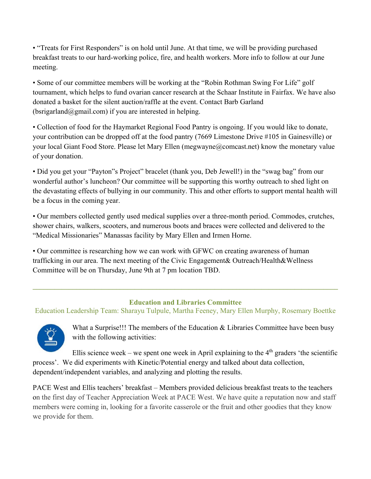• "Treats for First Responders" is on hold until June. At that time, we will be providing purchased breakfast treats to our hard-working police, fire, and health workers. More info to follow at our June meeting.

• Some of our committee members will be working at the "Robin Rothman Swing For Life" golf tournament, which helps to fund ovarian cancer research at the Schaar Institute in Fairfax. We have also donated a basket for the silent auction/raffle at the event. Contact Barb Garland (bsrigarland@gmail.com) if you are interested in helping.

• Collection of food for the Haymarket Regional Food Pantry is ongoing. If you would like to donate, your contribution can be dropped off at the food pantry (7669 Limestone Drive #105 in Gainesville) or your local Giant Food Store. Please let Mary Ellen (megwayne@comcast.net) know the monetary value of your donation.

• Did you get your "Payton"s Project" bracelet (thank you, Deb Jewell!) in the "swag bag" from our wonderful author's luncheon? Our committee will be supporting this worthy outreach to shed light on the devastating effects of bullying in our community. This and other efforts to support mental health will be a focus in the coming year.

• Our members collected gently used medical supplies over a three-month period. Commodes, crutches, shower chairs, walkers, scooters, and numerous boots and braces were collected and delivered to the "Medical Missionaries" Manassas facility by Mary Ellen and Irmen Horne.

• Our committee is researching how we can work with GFWC on creating awareness of human trafficking in our area. The next meeting of the Civic Engagement& Outreach/Health&Wellness Committee will be on Thursday, June 9th at 7 pm location TBD.

#### **Education and Libraries Committee**

 $\mathcal{L}_\mathcal{L} = \{ \mathcal{L}_\mathcal{L} = \{ \mathcal{L}_\mathcal{L} = \{ \mathcal{L}_\mathcal{L} = \{ \mathcal{L}_\mathcal{L} = \{ \mathcal{L}_\mathcal{L} = \{ \mathcal{L}_\mathcal{L} = \{ \mathcal{L}_\mathcal{L} = \{ \mathcal{L}_\mathcal{L} = \{ \mathcal{L}_\mathcal{L} = \{ \mathcal{L}_\mathcal{L} = \{ \mathcal{L}_\mathcal{L} = \{ \mathcal{L}_\mathcal{L} = \{ \mathcal{L}_\mathcal{L} = \{ \mathcal{L}_\mathcal{$ 

Education Leadership Team: Sharayu Tulpule, Martha Feeney, Mary Ellen Murphy, Rosemary Boettke



What a Surprise!!! The members of the Education & Libraries Committee have been busy with the following activities:

Ellis science week – we spent one week in April explaining to the  $4<sup>th</sup>$  graders 'the scientific process'. We did experiments with Kinetic/Potential energy and talked about data collection, dependent/independent variables, and analyzing and plotting the results.

PACE West and Ellis teachers' breakfast – Members provided delicious breakfast treats to the teachers on the first day of Teacher Appreciation Week at PACE West. We have quite a reputation now and staff members were coming in, looking for a favorite casserole or the fruit and other goodies that they know we provide for them.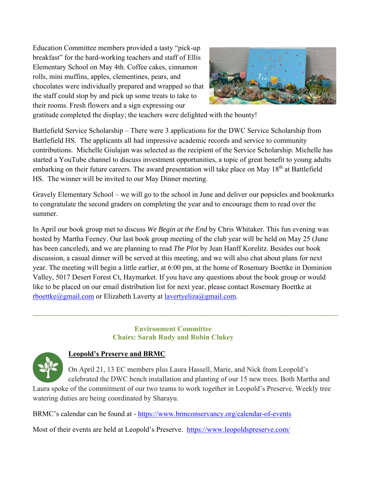Education Committee members provided a tasty "pick-up breakfast" for the hard-working teachers and staff of Ellis Elementary School on May 4th. Coffee cakes, cinnamon rolls, mini muffins, apples, clementines, pears, and chocolates were individually prepared and wrapped so that the staff could stop by and pick up some treats to take to their rooms. Fresh flowers and a sign expressing our



gratitude completed the display; the teachers were delighted with the bounty!

Battlefield Service Scholarship – There were 3 applications for the DWC Service Scholarship from Battlefield HS. The applicants all had impressive academic records and service to community contributions. Michelle Giulajan was selected as the recipient of the Service Scholarship. Michelle has started a YouTube channel to discuss investment opportunities, a topic of great benefit to young adults embarking on their future careers. The award presentation will take place on May 18<sup>th</sup> at Battlefield HS. The winner will be invited to our May Dinner meeting.

Gravely Elementary School – we will go to the school in June and deliver our popsicles and bookmarks to congratulate the second graders on completing the year and to encourage them to read over the summer.

In April our book group met to discuss *We Begin at the End* by Chris Whitaker. This fun evening was hosted by Martha Feeney. Our last book group meeting of the club year will be held on May 25 (June has been canceled), and we are planning to read *The Plot* by Jean Hanff Korelitz. Besides our book discussion, a casual dinner will be served at this meeting, and we will also chat about plans for next year. The meeting will begin a little earlier, at 6:00 pm, at the home of Rosemary Boettke in Dominion Valley, 5017 Desert Forest Ct, Haymarket. If you have any questions about the book group or would like to be placed on our email distribution list for next year, please contact Rosemary Boettke at rboettke@gmail.com or Elizabeth Laverty at lavertyeliza@gmail.com.

 $\mathcal{L}_\mathcal{L} = \{ \mathcal{L}_\mathcal{L} = \{ \mathcal{L}_\mathcal{L} = \{ \mathcal{L}_\mathcal{L} = \{ \mathcal{L}_\mathcal{L} = \{ \mathcal{L}_\mathcal{L} = \{ \mathcal{L}_\mathcal{L} = \{ \mathcal{L}_\mathcal{L} = \{ \mathcal{L}_\mathcal{L} = \{ \mathcal{L}_\mathcal{L} = \{ \mathcal{L}_\mathcal{L} = \{ \mathcal{L}_\mathcal{L} = \{ \mathcal{L}_\mathcal{L} = \{ \mathcal{L}_\mathcal{L} = \{ \mathcal{L}_\mathcal{$ 

#### **Environment Committee Chairs: Sarah Rudy and Robin Clukey**



## **Leopold's Preserve and BRMC**

On April 21, 13 EC members plus Laura Hassell, Marie, and Nick from Leopold's celebrated the DWC bench installation and planting of our 15 new trees. Both Martha and

Laura spoke of the commitment of our two teams to work together in Leopold's Preserve. Weekly tree watering duties are being coordinated by Sharayu.

BRMC's calendar can be found at - https://www.brmconservancy.org/calendar-of-events

Most of their events are held at Leopold's Preserve. https://www.leopoldspreserve.com/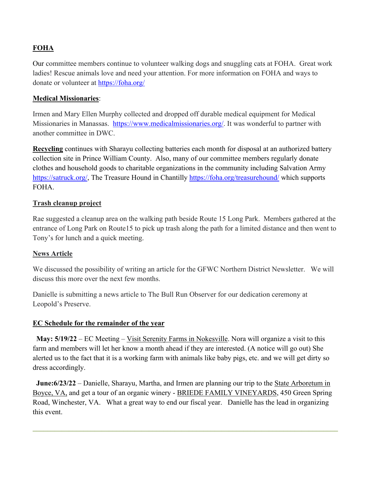## **FOHA**

Our committee members continue to volunteer walking dogs and snuggling cats at FOHA. Great work ladies! Rescue animals love and need your attention. For more information on FOHA and ways to donate or volunteer at https://foha.org/

#### **Medical Missionaries**:

Irmen and Mary Ellen Murphy collected and dropped off durable medical equipment for Medical Missionaries in Manassas. https://www.medicalmissionaries.org/. It was wonderful to partner with another committee in DWC.

**Recycling** continues with Sharayu collecting batteries each month for disposal at an authorized battery collection site in Prince William County. Also, many of our committee members regularly donate clothes and household goods to charitable organizations in the community including Salvation Army https://satruck.org/, The Treasure Hound in Chantilly https://foha.org/treasurehound/ which supports FOHA.

#### **Trash cleanup project**

Rae suggested a cleanup area on the walking path beside Route 15 Long Park. Members gathered at the entrance of Long Park on Route15 to pick up trash along the path for a limited distance and then went to Tony's for lunch and a quick meeting.

#### **News Article**

We discussed the possibility of writing an article for the GFWC Northern District Newsletter. We will discuss this more over the next few months.

Danielle is submitting a news article to The Bull Run Observer for our dedication ceremony at Leopold's Preserve.

#### **EC Schedule for the remainder of the year**

 **May: 5/19/22** – EC Meeting – Visit Serenity Farms in Nokesville. Nora will organize a visit to this farm and members will let her know a month ahead if they are interested. (A notice will go out) She alerted us to the fact that it is a working farm with animals like baby pigs, etc. and we will get dirty so dress accordingly.

 **June:6/23/22** – Danielle, Sharayu, Martha, and Irmen are planning our trip to the State Arboretum in Boyce, VA, and get a tour of an organic winery - BRIEDE FAMILY VINEYARDS, 450 Green Spring Road, Winchester, VA. What a great way to end our fiscal year. Danielle has the lead in organizing this event.

 $\mathcal{L}_\mathcal{L} = \{ \mathcal{L}_\mathcal{L} = \{ \mathcal{L}_\mathcal{L} = \{ \mathcal{L}_\mathcal{L} = \{ \mathcal{L}_\mathcal{L} = \{ \mathcal{L}_\mathcal{L} = \{ \mathcal{L}_\mathcal{L} = \{ \mathcal{L}_\mathcal{L} = \{ \mathcal{L}_\mathcal{L} = \{ \mathcal{L}_\mathcal{L} = \{ \mathcal{L}_\mathcal{L} = \{ \mathcal{L}_\mathcal{L} = \{ \mathcal{L}_\mathcal{L} = \{ \mathcal{L}_\mathcal{L} = \{ \mathcal{L}_\mathcal{$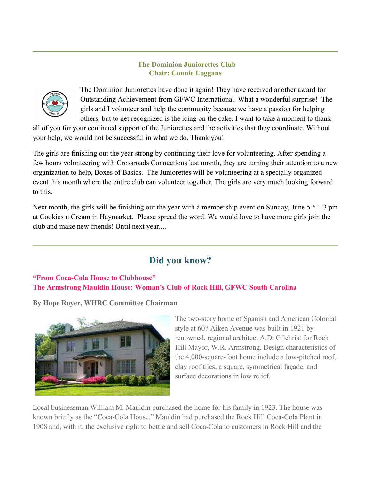#### **The Dominion Juniorettes Club Chair: Connie Loggans**

 $\mathcal{L}_\mathcal{L} = \{ \mathcal{L}_\mathcal{L} = \{ \mathcal{L}_\mathcal{L} = \{ \mathcal{L}_\mathcal{L} = \{ \mathcal{L}_\mathcal{L} = \{ \mathcal{L}_\mathcal{L} = \{ \mathcal{L}_\mathcal{L} = \{ \mathcal{L}_\mathcal{L} = \{ \mathcal{L}_\mathcal{L} = \{ \mathcal{L}_\mathcal{L} = \{ \mathcal{L}_\mathcal{L} = \{ \mathcal{L}_\mathcal{L} = \{ \mathcal{L}_\mathcal{L} = \{ \mathcal{L}_\mathcal{L} = \{ \mathcal{L}_\mathcal{$ 



The Dominion Juniorettes have done it again! They have received another award for Outstanding Achievement from GFWC International. What a wonderful surprise! The girls and I volunteer and help the community because we have a passion for helping others, but to get recognized is the icing on the cake. I want to take a moment to thank

all of you for your continued support of the Juniorettes and the activities that they coordinate. Without your help, we would not be successful in what we do. Thank you!

The girls are finishing out the year strong by continuing their love for volunteering. After spending a few hours volunteering with Crossroads Connections last month, they are turning their attention to a new organization to help, Boxes of Basics. The Juniorettes will be volunteering at a specially organized event this month where the entire club can volunteer together. The girls are very much looking forward to this.

Next month, the girls will be finishing out the year with a membership event on Sunday, June 5<sup>th,</sup> 1-3 pm at Cookies n Cream in Haymarket. Please spread the word. We would love to have more girls join the club and make new friends! Until next year....

**\_\_\_\_\_\_\_\_\_\_\_\_\_\_\_\_\_\_\_\_\_\_\_\_\_\_\_\_\_\_\_\_\_\_\_\_\_\_\_\_\_\_\_\_\_\_\_\_\_\_\_\_\_\_\_\_\_\_\_\_\_\_\_\_\_\_\_\_\_\_\_\_\_\_\_\_\_\_\_\_\_\_\_\_** 

# **Did you know?**

# **"From Coca-Cola House to Clubhouse" The Armstrong Mauldin House: Woman's Club of Rock Hill, GFWC South Carolina**

**By Hope Royer, WHRC Committee Chairman**



The two-story home of Spanish and American Colonial style at 607 Aiken Avenue was built in 1921 by renowned, regional architect A.D. Gilchrist for Rock Hill Mayor, W.R. Armstrong. Design characteristics of the 4,000-square-foot home include a low-pitched roof, clay roof tiles, a square, symmetrical façade, and surface decorations in low relief.

Local businessman William M. Mauldin purchased the home for his family in 1923. The house was known briefly as the "Coca-Cola House." Mauldin had purchased the Rock Hill Coca-Cola Plant in 1908 and, with it, the exclusive right to bottle and sell Coca-Cola to customers in Rock Hill and the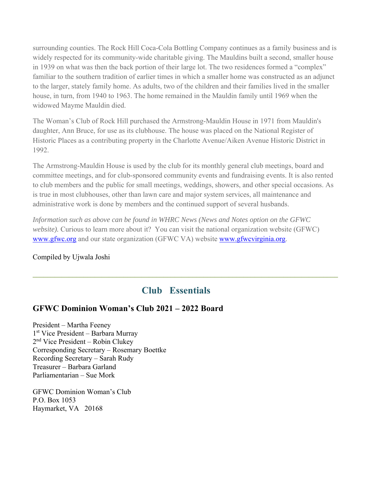surrounding counties. The Rock Hill Coca-Cola Bottling Company continues as a family business and is widely respected for its community-wide charitable giving. The Mauldins built a second, smaller house in 1939 on what was then the back portion of their large lot. The two residences formed a "complex" familiar to the southern tradition of earlier times in which a smaller home was constructed as an adjunct to the larger, stately family home. As adults, two of the children and their families lived in the smaller house, in turn, from 1940 to 1963. The home remained in the Mauldin family until 1969 when the widowed Mayme Mauldin died.

The Woman's Club of Rock Hill purchased the Armstrong-Mauldin House in 1971 from Mauldin's daughter, Ann Bruce, for use as its clubhouse. The house was placed on the National Register of Historic Places as a contributing property in the Charlotte Avenue/Aiken Avenue Historic District in 1992.

The Armstrong-Mauldin House is used by the club for its monthly general club meetings, board and committee meetings, and for club-sponsored community events and fundraising events. It is also rented to club members and the public for small meetings, weddings, showers, and other special occasions. As is true in most clubhouses, other than lawn care and major system services, all maintenance and administrative work is done by members and the continued support of several husbands.

*Information such as above can be found in WHRC News (News and Notes option on the GFWC website).* Curious to learn more about it? You can visit the national organization website (GFWC) www.gfwc.org and our state organization (GFWC VA) website www.gfwcvirginia.org.

Compiled by Ujwala Joshi

# **Club Essentials**

 $\mathcal{L}_\mathcal{L} = \{ \mathcal{L}_\mathcal{L} = \{ \mathcal{L}_\mathcal{L} = \{ \mathcal{L}_\mathcal{L} = \{ \mathcal{L}_\mathcal{L} = \{ \mathcal{L}_\mathcal{L} = \{ \mathcal{L}_\mathcal{L} = \{ \mathcal{L}_\mathcal{L} = \{ \mathcal{L}_\mathcal{L} = \{ \mathcal{L}_\mathcal{L} = \{ \mathcal{L}_\mathcal{L} = \{ \mathcal{L}_\mathcal{L} = \{ \mathcal{L}_\mathcal{L} = \{ \mathcal{L}_\mathcal{L} = \{ \mathcal{L}_\mathcal{$ 

# **GFWC Dominion Woman's Club 2021 – 2022 Board**

President – Martha Feeney 1st Vice President – Barbara Murray 2nd Vice President – Robin Clukey Corresponding Secretary – Rosemary Boettke Recording Secretary – Sarah Rudy Treasurer – Barbara Garland Parliamentarian – Sue Mork

GFWC Dominion Woman's Club P.O. Box 1053 Haymarket, VA 20168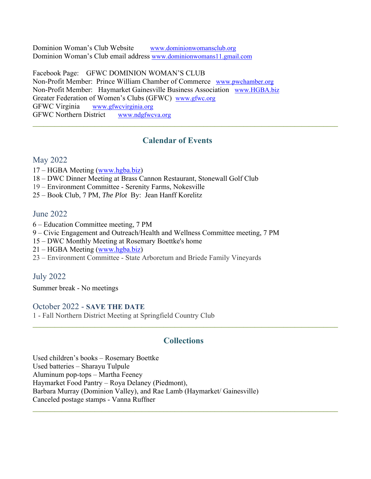Dominion Woman's Club Website www.dominionwomansclub.org Dominion Woman's Club email address www.dominionwomans11.gmail.com

Facebook Page: GFWC DOMINION WOMAN'S CLUB Non-Profit Member: Prince William Chamber of Commerce www.pwchamber.org Non-Profit Member: Haymarket Gainesville Business Association www.HGBA.biz Greater Federation of Women's Clubs (GFWC) www.gfwc.org GFWC Virginia www.gfwcvirginia.org GFWC Northern District www.ndgfwcva.org

# **Calendar of Events**

 $\mathcal{L}_\mathcal{L} = \{ \mathcal{L}_\mathcal{L} = \{ \mathcal{L}_\mathcal{L} = \{ \mathcal{L}_\mathcal{L} = \{ \mathcal{L}_\mathcal{L} = \{ \mathcal{L}_\mathcal{L} = \{ \mathcal{L}_\mathcal{L} = \{ \mathcal{L}_\mathcal{L} = \{ \mathcal{L}_\mathcal{L} = \{ \mathcal{L}_\mathcal{L} = \{ \mathcal{L}_\mathcal{L} = \{ \mathcal{L}_\mathcal{L} = \{ \mathcal{L}_\mathcal{L} = \{ \mathcal{L}_\mathcal{L} = \{ \mathcal{L}_\mathcal{$ 

#### May 2022

- 17 HGBA Meeting (www.hgba.biz)
- 18 DWC Dinner Meeting at Brass Cannon Restaurant, Stonewall Golf Club
- 19 Environment Committee Serenity Farms, Nokesville
- 25 Book Club, 7 PM, *The Plot* By: Jean Hanff Korelitz

#### June 2022

- 6 Education Committee meeting, 7 PM
- 9 Civic Engagement and Outreach/Health and Wellness Committee meeting, 7 PM
- 15 DWC Monthly Meeting at Rosemary Boettke's home
- 21 HGBA Meeting (www.hgba.biz)
- 23 Environment Committee State Arboretum and Briede Family Vineyards

#### July 2022

Summer break - No meetings

#### October 2022 - **SAVE THE DATE**

1 - Fall Northern District Meeting at Springfield Country Club

# **Collections**

 $\mathcal{L}_\mathcal{L} = \{ \mathcal{L}_\mathcal{L} = \{ \mathcal{L}_\mathcal{L} = \{ \mathcal{L}_\mathcal{L} = \{ \mathcal{L}_\mathcal{L} = \{ \mathcal{L}_\mathcal{L} = \{ \mathcal{L}_\mathcal{L} = \{ \mathcal{L}_\mathcal{L} = \{ \mathcal{L}_\mathcal{L} = \{ \mathcal{L}_\mathcal{L} = \{ \mathcal{L}_\mathcal{L} = \{ \mathcal{L}_\mathcal{L} = \{ \mathcal{L}_\mathcal{L} = \{ \mathcal{L}_\mathcal{L} = \{ \mathcal{L}_\mathcal{$ 

**\_\_\_\_\_\_\_\_\_\_\_\_\_\_\_\_\_\_\_\_\_\_\_\_\_\_\_\_\_\_\_\_\_\_\_\_\_\_\_\_\_\_\_\_\_\_\_\_\_\_\_\_\_\_\_\_\_\_\_\_\_\_\_\_\_\_\_\_\_\_\_\_\_\_\_\_\_\_\_\_\_\_\_\_** 

Used children's books – Rosemary Boettke Used batteries – Sharayu Tulpule Aluminum pop-tops – Martha Feeney Haymarket Food Pantry – Roya Delaney (Piedmont), Barbara Murray (Dominion Valley), and Rae Lamb (Haymarket/ Gainesville) Canceled postage stamps - Vanna Ruffner